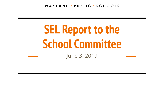**W A Y L A N D \* P U B L I C \* S C H O O L S**

# **SEL Report to the School Committee** June 3, 2019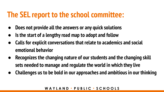## **The SEL report to the school committee:**

- **● Does not provide all the answers or any quick solutions**
- **● Is the start of a lengthy road map to adopt and follow**
- **● Calls for explicit conversations that relate to academics and social emotional behavior**
- **● Recognizes the changing nature of our students and the changing skill sets needed to manage and regulate the world in which they live**
- **● Challenges us to be bold in our approaches and ambitious in our thinking**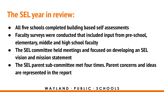## **The SEL year in review:**

- **● All five schools completed building based self assessments**
- **● Faculty surveys were conducted that included input from pre-school, elementary, middle and high school faculty**
- **● The SEL committee held meetings and focused on developing an SEL vision and mission statement**
- **● The SEL parent sub-committee met four times. Parent concerns and ideas are represented in the report**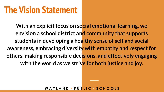## **The Vision Statement**

**With an explicit focus on social emotional learning, we envision a school district and community that supports students in developing a healthy sense of self and social awareness, embracing diversity with empathy and respect for others, making responsible decisions, and effectively engaging with the world as we strive for both justice and joy.**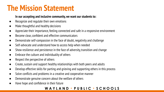## **The Mission Statement**

#### **In our accepting and inclusive community, we want our students to:**

- Recognize and regulate their own emotions
- Make thoughtful and healthy decisions
- Appreciate their importance, feeling connected and safe in a responsive environment
- Become clear, confident and effective communicators
- Demonstrate self-compassion in the face of doubt, negativity and challenge
- Self-advocate and understand how to access help when needed
- Show resilience and persistence in the face of adversity, transition and change
- Embrace the culture and individuality of others
- Respect the perspective of others
- Create, sustain and support healthy relationships with both peers and adults
- Develop effective skills for parting and grieving and supporting others in this process
- Solve conflicts and problems in a creative and cooperative manner
- Demonstrate genuine concern about the welfare of others
- Have hope and confidence in their future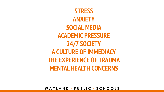**STRESS ANXIETY SOCIAL MEDIA ACADEMIC PRESSURE 24/7 SOCIETY A CULTURE OF IMMEDIACY THE EXPERIENCE OF TRAUMA MENTAL HEALTH CONCERNS**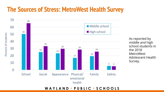### **The Sources of Stress: MetroWest Health Survey**



As reported by middle and high school students in the 2018 MetroWest Adolescent Health Survey.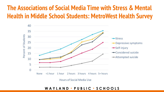### **The Associations of Social Media Time with Stress & Mental Health in Middle School Students: MetroWest Health Survey**



Hours of Social Media Use

**W A Y L A N D \* P U B L I C \* S C H O O L S**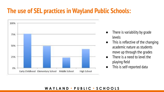### **The use of SEL practices in Wayland Public Schools:**



- There is variability by grade levels
- This is reflective of the changing academic nature as students move up through the grades
- There is a need to level the playing field
- This is self-reported data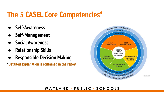## **The 5 CASEL Core Competencies\***

- **● Self-Awareness**
- **● Self-Management**
- **● Social Awareness**
- **● Relationship Skills**
- **● Responsible Decision Making**

**\*Detailed explanation is contained in the report**

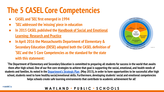## **The 5 CASEL Core Competencies**

- **● CASEL and 'SEL' first emerged in 1994**
- **● 'SEL' addressed the 'missing' piece in education**
- **● In 2015 CASEL published the [Handbook of Social and Emotional](http://www.guilford.com/books/Handbook-of-Social-and-Emotional-Learning/Durlak-Domitrovich-Weissberg-Gullotta/9781462527915) [Learning: Research and Practice](http://www.guilford.com/books/Handbook-of-Social-and-Emotional-Learning/Durlak-Domitrovich-Weissberg-Gullotta/9781462527915)**
- **● In April 2016 the Massachusetts Department of Elementary & Secondary Education (DESE) adopted both the CASEL definition of 'SEL' and the 5 Core Competencies as the standard for the state with this statement:**



**'The Department of Elementary and Secondary Education is committed to preparing all students for success in the world that awaits them after high school. One of our five core strategies to achieve that goal is supporting the social, emotional, and health needs of students and families. As noted in the [Department's Strategic Plan](http://www.doe.mass.edu/research/StrategicPlan.docx) (May 2015), in order to have opportunities to be successful after high school, students need to have healthy social/emotional skills. Furthermore, developing students' social and emotional competencies helps schools create safe learning environments that contribute to academic achievement for all'**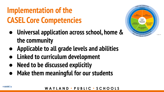## **Implementation of the CASEL Core Competencies**

- **● Universal application across school, home & the community**
- **● Applicable to all grade levels and abilities**
- **● Linked to curriculum development**
- **● Need to be discussed explicitly**
- **● Make them meaningful for our students**



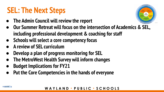## **SEL: The Next Steps**

- **● The Admin Council will review the report**
- **● Our Summer Retreat will focus on the intersection of Academics & SEL, including professional development & coaching for staff**
- **● Schools will select a core competency focus**
- **● A review of SEL curriculum**
- **● Develop a plan of progress monitoring for SEL**
- **● The MetroWest Health Survey will inform changes**
- **● Budget Implications for FY21**

and the second state

**Put the Core Competencies in the hands of everyone**